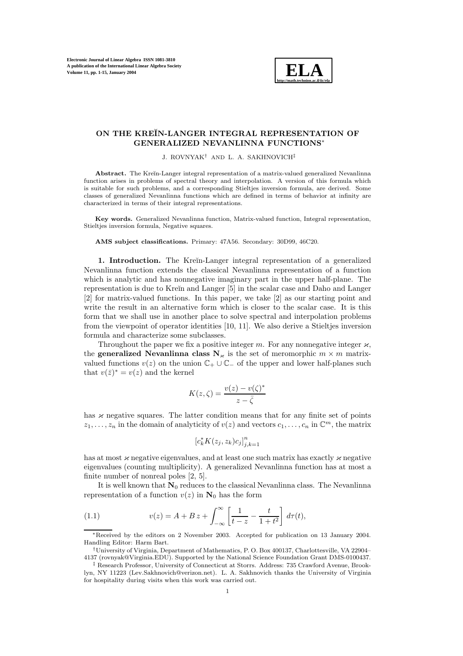

# **ON THE KRE˘IN-LANGER INTEGRAL REPRESENTATION OF GENERALIZED NEVANLINNA FUNCTIONS**∗

J. ROVNYAK† AND L. A. SAKHNOVICH‡

Abstract. The Kreĭn-Langer integral representation of a matrix-valued generalized Nevanlinna function arises in problems of spectral theory and interpolation. A version of this formula which is suitable for such problems, and a corresponding Stieltjes inversion formula, are derived. Some classes of generalized Nevanlinna functions which are defined in terms of behavior at infinity are characterized in terms of their integral representations.

**Key words.** Generalized Nevanlinna function, Matrix-valued function, Integral representation, Stieltjes inversion formula, Negative squares.

#### **AMS subject classifications.** Primary: 47A56. Secondary: 30D99, 46C20.

**1. Introduction.** The Kreĭn-Langer integral representation of a generalized Nevanlinna function extends the classical Nevanlinna representation of a function which is analytic and has nonnegative imaginary part in the upper half-plane. The representation is due to Kreĭn and Langer [5] in the scalar case and Daho and Langer [2] for matrix-valued functions. In this paper, we take [2] as our starting point and write the result in an alternative form which is closer to the scalar case. It is this form that we shall use in another place to solve spectral and interpolation problems from the viewpoint of operator identities [10, 11]. We also derive a Stieltjes inversion formula and characterize some subclasses.

Throughout the paper we fix a positive integer m. For any nonnegative integer  $\varkappa$ , the **generalized Nevanlinna class**  $N_{\kappa}$  is the set of meromorphic  $m \times m$  matrixvalued functions  $v(z)$  on the union  $\mathbb{C}_+ \cup \mathbb{C}_-$  of the upper and lower half-planes such that  $v(\bar{z})^* = v(z)$  and the kernel

$$
K(z,\zeta) = \frac{v(z) - v(\zeta)^*}{z - \bar{\zeta}}
$$

has  $\varkappa$  negative squares. The latter condition means that for any finite set of points  $z_1,\ldots,z_n$  in the domain of analyticity of  $v(z)$  and vectors  $c_1,\ldots,c_n$  in  $\mathbb{C}^m$ , the matrix

$$
\left[c_k^* K(z_j, z_k)c_j\right]_{j,k=1}^n
$$

has at most  $\varkappa$  negative eigenvalues, and at least one such matrix has exactly  $\varkappa$  negative eigenvalues (counting multiplicity). A generalized Nevanlinna function has at most a finite number of nonreal poles [2, 5].

It is well known that  $N_0$  reduces to the classical Nevanlinna class. The Nevanlinna representation of a function  $v(z)$  in  $N_0$  has the form

(1.1) 
$$
v(z) = A + B z + \int_{-\infty}^{\infty} \left[ \frac{1}{t - z} - \frac{t}{1 + t^2} \right] d\tau(t),
$$

<sup>∗</sup>Received by the editors on 2 November 2003. Accepted for publication on 13 January 2004. Handling Editor: Harm Bart.

<sup>†</sup>University of Virginia, Department of Mathematics, P. O. Box 400137, Charlottesville, VA 22904– 4137 (rovnyak@Virginia.EDU). Supported by the National Science Foundation Grant DMS-0100437.

<sup>‡</sup> Research Professor, University of Connecticut at Storrs. Address: 735 Crawford Avenue, Brooklyn, NY 11223 (Lev.Sakhnovich@verizon.net). L. A. Sakhnovich thanks the University of Virginia for hospitality during visits when this work was carried out.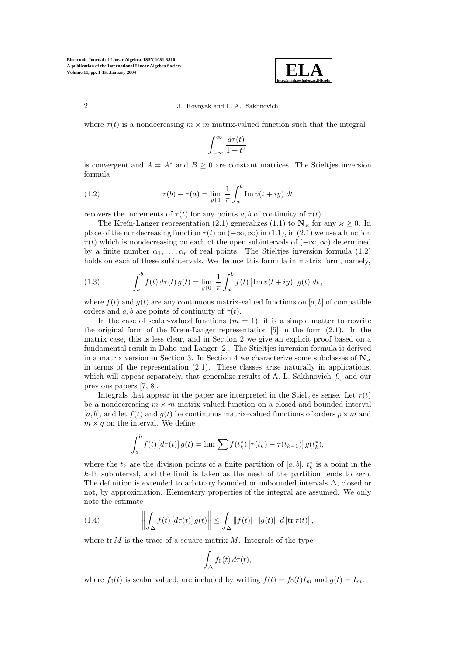

where  $\tau(t)$  is a nondecreasing  $m \times m$  matrix-valued function such that the integral

$$
\int_{-\infty}^{\infty} \frac{d\tau(t)}{1+t^2}
$$

is convergent and  $A = A^*$  and  $B \geq 0$  are constant matrices. The Stieltjes inversion formula

(1.2) 
$$
\tau(b) - \tau(a) = \lim_{y \downarrow 0} \frac{1}{\pi} \int_{a}^{b} \text{Im } v(t + iy) dt
$$

recovers the increments of  $\tau(t)$  for any points a, b of continuity of  $\tau(t)$ .

The Kreĭn-Langer representation (2.1) generalizes (1.1) to  $N_{\kappa}$  for any  $\kappa \geq 0$ . In place of the nondecreasing function  $\tau(t)$  on  $(-\infty, \infty)$  in (1.1), in (2.1) we use a function  $\tau(t)$  which is nondecreasing on each of the open subintervals of  $(-\infty, \infty)$  determined by a finite number  $\alpha_1, \ldots, \alpha_r$  of real points. The Stieltjes inversion formula (1.2) holds on each of these subintervals. We deduce this formula in matrix form, namely,

(1.3) 
$$
\int_{a}^{b} f(t) d\tau(t) g(t) = \lim_{y \downarrow 0} \frac{1}{\pi} \int_{a}^{b} f(t) \left[ \text{Im} \, v(t + iy) \right] g(t) dt,
$$

where  $f(t)$  and  $g(t)$  are any continuous matrix-valued functions on [a, b] of compatible orders and  $a, b$  are points of continuity of  $\tau(t)$ .

In the case of scalar-valued functions  $(m = 1)$ , it is a simple matter to rewrite the original form of the Kreĭn-Langer representation  $[5]$  in the form  $(2.1)$ . In the matrix case, this is less clear, and in Section 2 we give an explicit proof based on a fundamental result in Daho and Langer [2]. The Stieltjes inversion formula is derived in a matrix version in Section 3. In Section 4 we characterize some subclasses of  $\mathbb{N}_{\varkappa}$ in terms of the representation  $(2.1)$ . These classes arise naturally in applications. which will appear separately, that generalize results of A. L. Sakhnovich [9] and our previous papers [7, 8].

Integrals that appear in the paper are interpreted in the Stieltjes sense. Let  $\tau(t)$ be a nondecreasing  $m \times m$  matrix-valued function on a closed and bounded interval [a, b], and let  $f(t)$  and  $g(t)$  be continuous matrix-valued functions of orders  $p \times m$  and  $m \times q$  on the interval. We define

$$
\int_{a}^{b} f(t) \left[ d\tau(t) \right] g(t) = \lim \sum f(t_{k}^{*}) \left[ \tau(t_{k}) - \tau(t_{k-1}) \right] g(t_{k}^{*}),
$$

where the  $t_k$  are the division points of a finite partition of [a, b],  $t_k^*$  is a point in the k-th subinterval, and the limit is taken as the mesh of the partition tends to zero. The definition is extended to arbitrary bounded or unbounded intervals ∆, closed or not, by approximation. Elementary properties of the integral are assumed. We only note the estimate

(1.4) 
$$
\left\| \int_{\Delta} f(t) \left[ d\tau(t) \right] g(t) \right\| \leq \int_{\Delta} ||f(t)|| \, ||g(t)|| \, d \left[ \operatorname{tr} \tau(t) \right],
$$

where  $tr M$  is the trace of a square matrix M. Integrals of the type

$$
\int_{\Delta} f_0(t) d\tau(t),
$$

where  $f_0(t)$  is scalar valued, are included by writing  $f(t) = f_0(t)I_m$  and  $g(t) = I_m$ .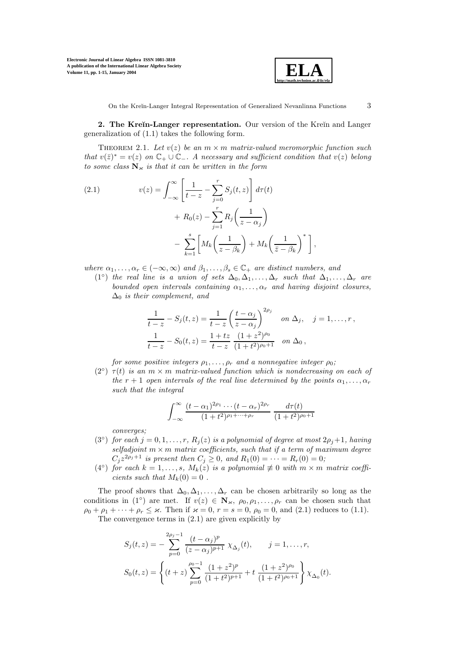

**2. The Kreĭn-Langer representation.** Our version of the Kreĭn and Langer generalization of (1.1) takes the following form.

THEOREM 2.1. Let  $v(z)$  be an  $m \times m$  matrix-valued meromorphic function such that  $v(\bar{z})^* = v(z)$  on  $\mathbb{C}_+ \cup \mathbb{C}_-$ . A necessary and sufficient condition that  $v(z)$  belong to some class  $N_k$  is that it can be written in the form

(2.1) 
$$
v(z) = \int_{-\infty}^{\infty} \left[ \frac{1}{t - z} - \sum_{j=0}^{r} S_j(t, z) \right] d\tau(t) + R_0(z) - \sum_{j=1}^{r} R_j \left( \frac{1}{z - \alpha_j} \right) - \sum_{k=1}^{s} \left[ M_k \left( \frac{1}{z - \beta_k} \right) + M_k \left( \frac{1}{\overline{z} - \beta_k} \right)^* \right],
$$

where  $\alpha_1,\ldots,\alpha_r\in(-\infty,\infty)$  and  $\beta_1,\ldots,\beta_s\in\mathbb{C}_+$  are distinct numbers, and

(1<sup>o</sup>) the real line is a union of sets  $\Delta_0, \Delta_1, \ldots, \Delta_r$  such that  $\Delta_1, \ldots, \Delta_r$  are bounded open intervals containing  $\alpha_1, \ldots, \alpha_r$  and having disjoint closures,  $\Delta_0$  is their complement, and

$$
\frac{1}{t-z} - S_j(t, z) = \frac{1}{t-z} \left(\frac{t-\alpha_j}{z-\alpha_j}\right)^{2\rho_j} \quad \text{on } \Delta_j, \quad j = 1, \dots, r,
$$
  

$$
\frac{1}{t-z} - S_0(t, z) = \frac{1+tz}{t-z} \frac{(1+z^2)^{\rho_0}}{(1+t^2)^{\rho_0+1}} \quad \text{on } \Delta_0,
$$

for some positive integers  $\rho_1, \ldots, \rho_r$  and a nonnegative integer  $\rho_0$ ;

 $(2<sup>°</sup>) \tau(t)$  is an  $m \times m$  matrix-valued function which is nondecreasing on each of the r + 1 open intervals of the real line determined by the points  $\alpha_1, \ldots, \alpha_r$ such that the integral

$$
\int_{-\infty}^{\infty} \frac{(t - \alpha_1)^{2\rho_1} \cdots (t - \alpha_r)^{2\rho_r}}{(1 + t^2)^{\rho_1 + \cdots + \rho_r}} \frac{d\tau(t)}{(1 + t^2)^{\rho_0 + 1}}
$$

converges;

- (3<sup>°</sup>) for each  $j = 0, 1, ..., r$ ,  $R_j(z)$  is a polynomial of degree at most  $2\rho_j + 1$ , having selfadjoint  $m \times m$  matrix coefficients, such that if a term of maximum degree  $C_j z^{2\rho_j+1}$  is present then  $C_j \ge 0$ , and  $R_1(0) = \cdots = R_r(0) = 0$ ;
- (4 $\degree$ ) for each  $k = 1, \ldots, s, M_k(z)$  is a polynomial  $\not\equiv 0$  with  $m \times m$  matrix coefficients such that  $M_k(0) = 0$ .

The proof shows that  $\Delta_0, \Delta_1, \ldots, \Delta_r$  can be chosen arbitrarily so long as the conditions in (1◦) are met. If  $v(z) \in \mathbb{N}_{\varkappa}, \rho_0, \rho_1, \ldots, \rho_r$  can be chosen such that  $\rho_0 + \rho_1 + \cdots + \rho_r \leq \varkappa$ . Then if  $\varkappa = 0$ ,  $r = s = 0$ ,  $\rho_0 = 0$ , and (2.1) reduces to (1.1). The convergence terms in (2.1) are given explicitly by

$$
S_j(t, z) = -\sum_{p=0}^{2\rho_j - 1} \frac{(t - \alpha_j)^p}{(z - \alpha_j)^{p+1}} \chi_{\Delta_j}(t), \qquad j = 1, \dots, r,
$$
  

$$
S_0(t, z) = \left\{ (t + z) \sum_{p=0}^{\rho_0 - 1} \frac{(1 + z^2)^p}{(1 + t^2)^{p+1}} + t \frac{(1 + z^2)^{\rho_0}}{(1 + t^2)^{\rho_0 + 1}} \right\} \chi_{\Delta_0}(t).
$$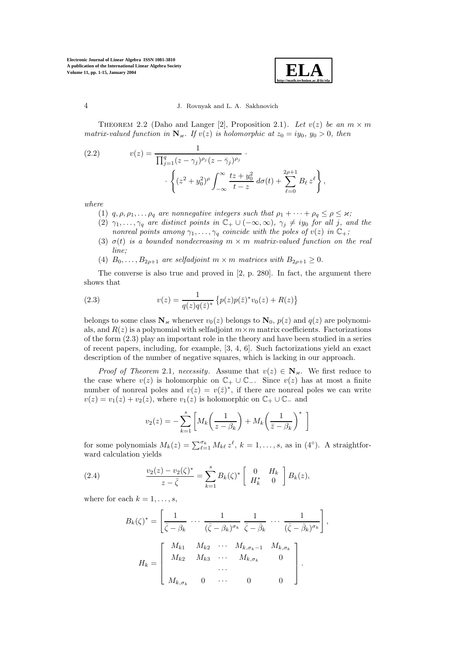

THEOREM 2.2 (Daho and Langer [2], Proposition 2.1). Let  $v(z)$  be an  $m \times m$ matrix-valued function in  $\mathbb{N}_{\varkappa}$ . If  $v(z)$  is holomorphic at  $z_0 = iy_0$ ,  $y_0 > 0$ , then

(2.2) 
$$
v(z) = \frac{1}{\prod_{j=1}^{q} (z - \gamma_j)^{\rho_j} (z - \bar{\gamma}_j)^{\rho_j}} \cdot \left\{ (z^2 + y_0^2)^{\rho} \int_{-\infty}^{\infty} \frac{tz + y_0^2}{t - z} d\sigma(t) + \sum_{\ell=0}^{2\rho+1} B_\ell z^\ell \right\},
$$

where

- (1)  $q, \rho, \rho_1, \ldots, \rho_q$  are nonnegative integers such that  $\rho_1 + \cdots + \rho_q \leq \rho \leq \varkappa$ ;
- (2)  $\gamma_1,\ldots,\gamma_q$  are distinct points in  $\mathbb{C}_+ \cup (-\infty,\infty)$ ,  $\gamma_j \neq iy_0$  for all j, and the nonreal points among  $\gamma_1, \ldots, \gamma_q$  coincide with the poles of  $v(z)$  in  $\mathbb{C}_+$ ;
- (3)  $\sigma(t)$  is a bounded nondecreasing  $m \times m$  matrix-valued function on the real line;
- (4)  $B_0, \ldots, B_{2\rho+1}$  are selfadjoint  $m \times m$  matrices with  $B_{2\rho+1} \geq 0$ .

The converse is also true and proved in [2, p. 280]. In fact, the argument there shows that

(2.3) 
$$
v(z) = \frac{1}{q(z)q(\bar{z})^*} \left\{ p(z)p(\bar{z})^*v_0(z) + R(z) \right\}
$$

belongs to some class  $N_k$  whenever  $v_0(z)$  belongs to  $N_0$ ,  $p(z)$  and  $q(z)$  are polynomials, and  $R(z)$  is a polynomial with selfadjoint  $m \times m$  matrix coefficients. Factorizations of the form (2.3) play an important role in the theory and have been studied in a series of recent papers, including, for example, [3, 4, 6]. Such factorizations yield an exact description of the number of negative squares, which is lacking in our approach.

*Proof of Theorem 2.1, necessity.* Assume that  $v(z) \in N_{\kappa}$ . We first reduce to the case where  $v(z)$  is holomorphic on  $\mathbb{C}_+ \cup \mathbb{C}_-$ . Since  $v(z)$  has at most a finite number of nonreal poles and  $v(z) = v(\bar{z})^*$ , if there are nonreal poles we can write  $v(z) = v_1(z) + v_2(z)$ , where  $v_1(z)$  is holomorphic on  $\mathbb{C}_+ \cup \mathbb{C}_-$  and

$$
v_2(z) = -\sum_{k=1}^s \left[ M_k \left( \frac{1}{z - \beta_k} \right) + M_k \left( \frac{1}{\bar{z} - \beta_k} \right)^* \right]
$$

for some polynomials  $M_k(z) = \sum_{\ell=1}^{\sigma_k} M_{k\ell} z^{\ell}$ ,  $k = 1, \ldots, s$ , as in  $(4^{\circ})$ . A straightforward calculation yields

(2.4) 
$$
\frac{v_2(z) - v_2(\zeta)^*}{z - \bar{\zeta}} = \sum_{k=1}^s B_k(\zeta)^* \begin{bmatrix} 0 & H_k \\ H_k^* & 0 \end{bmatrix} B_k(z),
$$

where for each  $k = 1, \ldots, s$ ,

$$
B_k(\zeta)^* = \left[ \frac{1}{\bar{\zeta} - \beta_k} \cdots \frac{1}{(\bar{\zeta} - \beta_k)^{\sigma_k}} \frac{1}{\bar{\zeta} - \bar{\beta}_k} \cdots \frac{1}{(\bar{\zeta} - \bar{\beta}_k)^{\sigma_k}} \right]
$$

$$
H_k = \left[ \begin{array}{cccc} M_{k1} & M_{k2} & \cdots & M_{k,\sigma_k - 1} & M_{k,\sigma_k} \\ M_{k2} & M_{k3} & \cdots & M_{k,\sigma_k} & 0 \\ \cdots & \cdots & \cdots & \cdots & \cdots \\ M_{k,\sigma_k} & 0 & \cdots & 0 & 0 \end{array} \right].
$$

,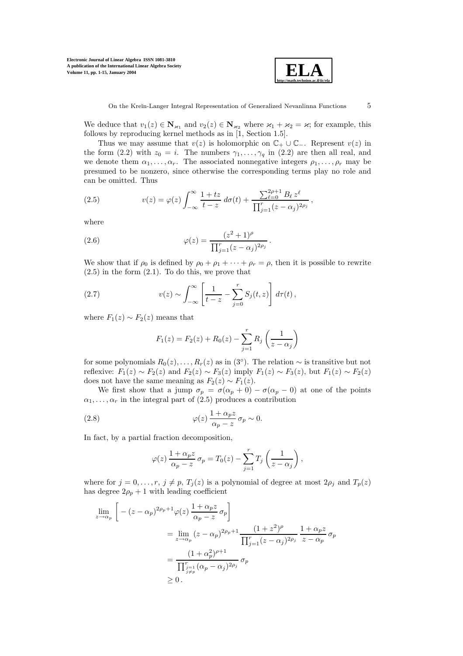

We deduce that  $v_1(z) \in \mathbb{N}_{\varkappa_1}$  and  $v_2(z) \in \mathbb{N}_{\varkappa_2}$  where  $\varkappa_1 + \varkappa_2 = \varkappa$ ; for example, this follows by reproducing kernel methods as in [1, Section 1.5].

Thus we may assume that  $v(z)$  is holomorphic on  $\mathbb{C}_+ \cup \mathbb{C}_-$ . Represent  $v(z)$  in the form (2.2) with  $z_0 = i$ . The numbers  $\gamma_1, \ldots, \gamma_q$  in (2.2) are then all real, and we denote them  $\alpha_1, \ldots, \alpha_r$ . The associated nonnegative integers  $\rho_1, \ldots, \rho_r$  may be presumed to be nonzero, since otherwise the corresponding terms play no role and can be omitted. Thus

(2.5) 
$$
v(z) = \varphi(z) \int_{-\infty}^{\infty} \frac{1 + tz}{t - z} d\sigma(t) + \frac{\sum_{\ell=0}^{2\rho+1} B_{\ell} z^{\ell}}{\prod_{j=1}^{r} (z - \alpha_j)^{2\rho_j}},
$$

where

(2.6) 
$$
\varphi(z) = \frac{(z^2 + 1)^{\rho}}{\prod_{j=1}^{r} (z - \alpha_j)^{2\rho_j}}.
$$

We show that if  $\rho_0$  is defined by  $\rho_0 + \rho_1 + \cdots + \rho_r = \rho$ , then it is possible to rewrite  $(2.5)$  in the form  $(2.1)$ . To do this, we prove that

(2.7) 
$$
v(z) \sim \int_{-\infty}^{\infty} \left[ \frac{1}{t-z} - \sum_{j=0}^{r} S_j(t,z) \right] d\tau(t),
$$

where  $F_1(z) \sim F_2(z)$  means that

$$
F_1(z) = F_2(z) + R_0(z) - \sum_{j=1}^{r} R_j \left(\frac{1}{z - \alpha_j}\right)
$$

for some polynomials  $R_0(z),...,R_r(z)$  as in  $(3°)$ . The relation  $\sim$  is transitive but not reflexive:  $F_1(z) \sim F_2(z)$  and  $F_2(z) \sim F_3(z)$  imply  $F_1(z) \sim F_3(z)$ , but  $F_1(z) \sim F_2(z)$ does not have the same meaning as  $F_2(z) \sim F_1(z)$ .

We first show that a jump  $\sigma_p = \sigma(\alpha_p + 0) - \sigma(\alpha_p - 0)$  at one of the points  $\alpha_1, \ldots, \alpha_r$  in the integral part of (2.5) produces a contribution

(2.8) 
$$
\varphi(z) \frac{1 + \alpha_p z}{\alpha_p - z} \sigma_p \sim 0.
$$

In fact, by a partial fraction decomposition,

$$
\varphi(z) \frac{1 + \alpha_p z}{\alpha_p - z} \sigma_p = T_0(z) - \sum_{j=1}^r T_j \left( \frac{1}{z - \alpha_j} \right),
$$

where for  $j = 0, \ldots, r, j \neq p, T_j(z)$  is a polynomial of degree at most  $2\rho_j$  and  $T_p(z)$ has degree  $2\rho_p + 1$  with leading coefficient

$$
\lim_{z \to \alpha_p} \left[ -(z - \alpha_p)^{2\rho_p + 1} \varphi(z) \frac{1 + \alpha_p z}{\alpha_p - z} \sigma_p \right]
$$
\n
$$
= \lim_{z \to \alpha_p} (z - \alpha_p)^{2\rho_p + 1} \frac{(1 + z^2)^\rho}{\prod_{j=1}^r (z - \alpha_j)^{2\rho_j}} \frac{1 + \alpha_p z}{z - \alpha_p} \sigma_p
$$
\n
$$
= \frac{(1 + \alpha_p^2)^{\rho + 1}}{\prod_{\substack{j=1 \ j \neq p}}^{r_{j=1}} (\alpha_p - \alpha_j)^{2\rho_j}} \sigma_p
$$
\n
$$
\geq 0.
$$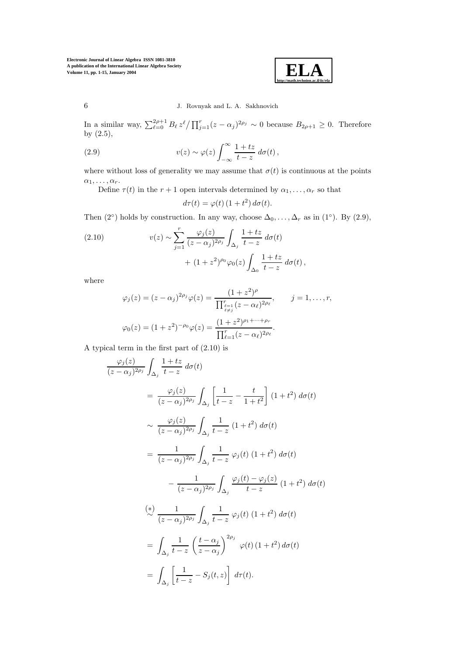

In a similar way,  $\sum_{\ell=0}^{2\rho+1} B_{\ell} z^{\ell} / \prod_{j=1}^{r} (z - \alpha_j)^{2\rho_j} \sim 0$  because  $B_{2\rho+1} \geq 0$ . Therefore by (2.5),

(2.9) 
$$
v(z) \sim \varphi(z) \int_{-\infty}^{\infty} \frac{1+tz}{t-z} d\sigma(t),
$$

where without loss of generality we may assume that  $\sigma(t)$  is continuous at the points  $\alpha_1,\ldots,\alpha_r.$ 

Define  $\tau(t)$  in the  $r + 1$  open intervals determined by  $\alpha_1, \ldots, \alpha_r$  so that

$$
d\tau(t) = \varphi(t) \left(1 + t^2\right) d\sigma(t).
$$

Then (2°) holds by construction. In any way, choose  $\Delta_0, \ldots, \Delta_r$  as in (1°). By (2.9),

(2.10) 
$$
v(z) \sim \sum_{j=1}^{r} \frac{\varphi_j(z)}{(z - \alpha_j)^{2\rho_j}} \int_{\Delta_j} \frac{1 + tz}{t - z} d\sigma(t) + (1 + z^2)^{\rho_0} \varphi_0(z) \int_{\Delta_0} \frac{1 + tz}{t - z} d\sigma(t),
$$

where

$$
\varphi_j(z) = (z - \alpha_j)^{2\rho_j} \varphi(z) = \frac{(1 + z^2)^{\rho}}{\prod_{\ell \neq j}^{r_{\ell-1}} (z - \alpha_{\ell})^{2\rho_{\ell}}}, \qquad j = 1, \dots, r,
$$

$$
\varphi_0(z) = (1 + z^2)^{-\rho_0} \varphi(z) = \frac{(1 + z^2)^{\rho_1 + \dots + \rho_r}}{\prod_{\ell=1}^{r} (z - \alpha_{\ell})^{2\rho_{\ell}}}.
$$

A typical term in the first part of (2.10) is

$$
\frac{\varphi_j(z)}{(z-\alpha_j)^{2\rho_j}} \int_{\Delta_j} \frac{1+tz}{t-z} d\sigma(t)
$$
\n
$$
= \frac{\varphi_j(z)}{(z-\alpha_j)^{2\rho_j}} \int_{\Delta_j} \left[ \frac{1}{t-z} - \frac{t}{1+t^2} \right] (1+t^2) d\sigma(t)
$$
\n
$$
\sim \frac{\varphi_j(z)}{(z-\alpha_j)^{2\rho_j}} \int_{\Delta_j} \frac{1}{t-z} (1+t^2) d\sigma(t)
$$
\n
$$
= \frac{1}{(z-\alpha_j)^{2\rho_j}} \int_{\Delta_j} \frac{1}{t-z} \varphi_j(t) (1+t^2) d\sigma(t)
$$
\n
$$
- \frac{1}{(z-\alpha_j)^{2\rho_j}} \int_{\Delta_j} \frac{\varphi_j(t) - \varphi_j(z)}{t-z} (1+t^2) d\sigma(t)
$$
\n
$$
\stackrel{(*)}{\sim} \frac{1}{(z-\alpha_j)^{2\rho_j}} \int_{\Delta_j} \frac{1}{t-z} \varphi_j(t) (1+t^2) d\sigma(t)
$$
\n
$$
= \int_{\Delta_j} \frac{1}{t-z} \left( \frac{t-\alpha_j}{z-\alpha_j} \right)^{2\rho_j} \varphi(t) (1+t^2) d\sigma(t)
$$
\n
$$
= \int_{\Delta_j} \left[ \frac{1}{t-z} - S_j(t,z) \right] d\tau(t).
$$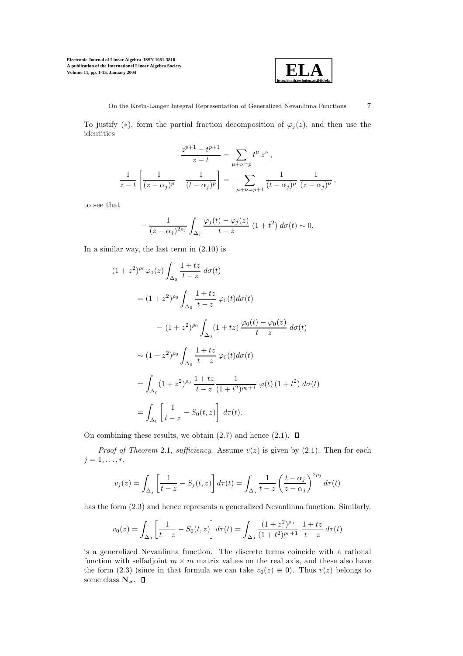

To justify (\*), form the partial fraction decomposition of  $\varphi_j(z)$ , and then use the identities

$$
\frac{z^{p+1} - t^{p+1}}{z - t} = \sum_{\mu + \nu = p} t^{\mu} z^{\nu},
$$
  

$$
\frac{1}{z - t} \left[ \frac{1}{(z - \alpha_j)^p} - \frac{1}{(t - \alpha_j)^p} \right] = - \sum_{\mu + \nu = p+1} \frac{1}{(t - \alpha_j)^{\mu}} \frac{1}{(z - \alpha_j)^{\nu}},
$$

to see that

$$
-\frac{1}{(z-\alpha_j)^{2\rho_j}}\int_{\Delta_j}\frac{\varphi_j(t)-\varphi_j(z)}{t-z}\left(1+t^2\right)d\sigma(t)\sim 0.
$$

In a similar way, the last term in (2.10) is

$$
(1 + z2)\rho_0 \varphi_0(z) \int_{\Delta_0} \frac{1 + tz}{t - z} d\sigma(t)
$$
  
=  $(1 + z2)\rho_0 \int_{\Delta_0} \frac{1 + tz}{t - z} \varphi_0(t) d\sigma(t)$   
 $- (1 + z2)\rho_0 \int_{\Delta_0} (1 + tz) \frac{\varphi_0(t) - \varphi_0(z)}{t - z} d\sigma(t)$   
 $\sim (1 + z2)\rho_0 \int_{\Delta_0} \frac{1 + tz}{t - z} \varphi_0(t) d\sigma(t)$   
=  $\int_{\Delta_0} (1 + z2)\rho_0 \frac{1 + tz}{t - z} \frac{1}{(1 + t2)\rho_0+1} \varphi(t) (1 + t2) d\sigma(t)$   
=  $\int_{\Delta_0} \left[ \frac{1}{t - z} - S_0(t, z) \right] d\tau(t).$ 

On combining these results, we obtain  $(2.7)$  and hence  $(2.1)$ .  $\square$ 

*Proof of Theorem 2.1, sufficiency.* Assume  $v(z)$  is given by (2.1). Then for each  $j=1,\ldots,r,$ 

$$
v_j(z) = \int_{\Delta_j} \left[ \frac{1}{t-z} - S_j(t,z) \right] d\tau(t) = \int_{\Delta_j} \frac{1}{t-z} \left( \frac{t-\alpha_j}{z-\alpha_j} \right)^{2\rho_j} d\tau(t)
$$

has the form (2.3) and hence represents a generalized Nevanlinna function. Similarly,

$$
v_0(z) = \int_{\Delta_0} \left[ \frac{1}{t - z} - S_0(t, z) \right] d\tau(t) = \int_{\Delta_0} \frac{(1 + z^2)^{\rho_0}}{(1 + t^2)^{\rho_0 + 1}} \frac{1 + tz}{t - z} d\tau(t)
$$

is a generalized Nevanlinna function. The discrete terms coincide with a rational function with selfadjoint  $m \times m$  matrix values on the real axis, and these also have the form (2.3) (since in that formula we can take  $v_0(z) \equiv 0$ ). Thus  $v(z)$  belongs to some class  $\mathbf{N}_{\varkappa}.$   $\;\;\mathbf{\Box}$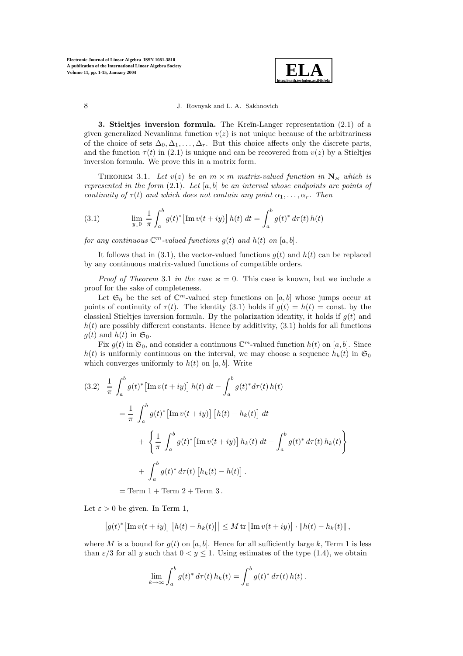

**3. Stieltjes inversion formula.** The Kreĭn-Langer representation (2.1) of a given generalized Nevanlinna function  $v(z)$  is not unique because of the arbitrariness of the choice of sets  $\Delta_0, \Delta_1, \ldots, \Delta_r$ . But this choice affects only the discrete parts, and the function  $\tau(t)$  in (2.1) is unique and can be recovered from  $v(z)$  by a Stieltjes inversion formula. We prove this in a matrix form.

THEOREM 3.1. Let  $v(z)$  be an  $m \times m$  matrix-valued function in  $N_{\kappa}$  which is represented in the form  $(2,1)$ . Let [a, b] be an interval whose endpoints are points of continuity of  $\tau(t)$  and which does not contain any point  $\alpha_1, \ldots, \alpha_r$ . Then

(3.1) 
$$
\lim_{y \downarrow 0} \frac{1}{\pi} \int_a^b g(t)^* \left[ \text{Im } v(t+iy) \right] h(t) dt = \int_a^b g(t)^* d\tau(t) h(t)
$$

for any continuous  $\mathbb{C}^m$ -valued functions  $g(t)$  and  $h(t)$  on [a, b].

It follows that in (3.1), the vector-valued functions  $g(t)$  and  $h(t)$  can be replaced by any continuous matrix-valued functions of compatible orders.

*Proof of Theorem 3.1 in the case*  $\varkappa = 0$ . This case is known, but we include a proof for the sake of completeness.

Let  $\mathfrak{S}_0$  be the set of  $\mathbb{C}^m$ -valued step functions on [a, b] whose jumps occur at points of continuity of  $\tau(t)$ . The identity (3.1) holds if  $g(t) = h(t) = \text{const.}$  by the classical Stieltjes inversion formula. By the polarization identity, it holds if  $g(t)$  and  $h(t)$  are possibly different constants. Hence by additivity,  $(3.1)$  holds for all functions  $g(t)$  and  $h(t)$  in  $\mathfrak{S}_0$ .

Fix  $g(t)$  in  $\mathfrak{S}_0$ , and consider a continuous  $\mathbb{C}^m$ -valued function  $h(t)$  on [a, b]. Since  $h(t)$  is uniformly continuous on the interval, we may choose a sequence  $h_k(t)$  in  $\mathfrak{S}_0$ which converges uniformly to  $h(t)$  on [a, b]. Write

$$
(3.2) \frac{1}{\pi} \int_{a}^{b} g(t)^{*} \left[ \text{Im } v(t+iy) \right] h(t) dt - \int_{a}^{b} g(t)^{*} d\tau(t) h(t)
$$
  

$$
= \frac{1}{\pi} \int_{a}^{b} g(t)^{*} \left[ \text{Im } v(t+iy) \right] \left[ h(t) - h_{k}(t) \right] dt
$$
  

$$
+ \left\{ \frac{1}{\pi} \int_{a}^{b} g(t)^{*} \left[ \text{Im } v(t+iy) \right] h_{k}(t) dt - \int_{a}^{b} g(t)^{*} d\tau(t) h_{k}(t) \right\}
$$
  

$$
+ \int_{a}^{b} g(t)^{*} d\tau(t) \left[ h_{k}(t) - h(t) \right].
$$

 $=$  Term  $1 +$  Term  $2 +$  Term  $3$ .

Let  $\varepsilon > 0$  be given. In Term 1,

$$
\left|g(t)^*\big[\mathrm{Im}\,v(t+iy)\big]\left[h(t)-h_k(t)\right]\right|\leq M\,\mathrm{tr}\left[\mathrm{Im}\,v(t+iy)\right]\cdot\left\|h(t)-h_k(t)\right\|,
$$

where M is a bound for  $g(t)$  on [a, b]. Hence for all sufficiently large k, Term 1 is less than  $\varepsilon/3$  for all y such that  $0 < y \le 1$ . Using estimates of the type (1.4), we obtain

$$
\lim_{k \to \infty} \int_a^b g(t)^* d\tau(t) h_k(t) = \int_a^b g(t)^* d\tau(t) h(t).
$$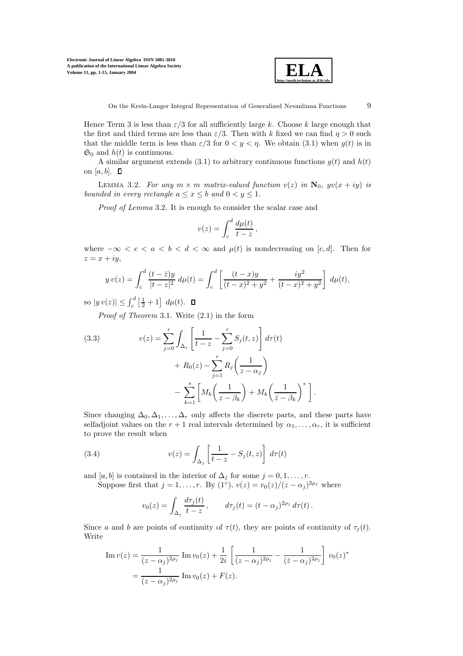

.

Hence Term 3 is less than  $\varepsilon/3$  for all sufficiently large k. Choose k large enough that the first and third terms are less than  $\varepsilon/3$ . Then with k fixed we can find  $\eta > 0$  such that the middle term is less than  $\varepsilon/3$  for  $0 < y < \eta$ . We obtain (3.1) when  $g(t)$  is in  $\mathfrak{S}_0$  and  $h(t)$  is continuous.

A similar argument extends (3.1) to arbitrary continuous functions  $q(t)$  and  $h(t)$ on [a, b].  $\Box$ 

LEMMA 3.2. For any  $m \times m$  matrix-valued function  $v(z)$  in  $\mathbf{N}_0$ ,  $yv(x + iy)$  is bounded in every rectangle  $a \leq x \leq b$  and  $0 \leq y \leq 1$ .

Proof of Lemma 3.2. It is enough to consider the scalar case and

$$
v(z) = \int_c^d \frac{d\mu(t)}{t - z},
$$

where  $-\infty < c < a < b < d < \infty$  and  $\mu(t)$  is nondecreasing on [c, d]. Then for  $z = x + iy,$ 

$$
y v(z) = \int_c^d \frac{(t - \bar{z})y}{|t - z|^2} d\mu(t) = \int_c^d \left[ \frac{(t - x)y}{(t - x)^2 + y^2} + \frac{iy^2}{(t - x)^2 + y^2} \right] d\mu(t),
$$

so  $|y v(z)| \leq \int_c^d \left[\frac{1}{2} + 1\right] d\mu(t)$ .

Proof of Theorem 3.1. Write (2.1) in the form

(3.3) 
$$
v(z) = \sum_{j=0}^{r} \int_{\Delta_j} \left[ \frac{1}{t-z} - \sum_{j=0}^{r} S_j(t, z) \right] d\tau(t) + R_0(z) - \sum_{j=1}^{r} R_j \left( \frac{1}{z - \alpha_j} \right) - \sum_{k=1}^{s} \left[ M_k \left( \frac{1}{z - \beta_k} \right) + M_k \left( \frac{1}{\overline{z} - \beta_k} \right)^* \right]
$$

Since changing  $\Delta_0, \Delta_1, \ldots, \Delta_r$  only affects the discrete parts, and these parts have selfadjoint values on the  $r + 1$  real intervals determined by  $\alpha_1, \ldots, \alpha_r$ , it is sufficient to prove the result when

(3.4) 
$$
v(z) = \int_{\Delta_j} \left[ \frac{1}{t-z} - S_j(t,z) \right] d\tau(t)
$$

and [a, b] is contained in the interior of  $\Delta_i$  for some  $j = 0, 1, \ldots, r$ .

Suppose first that  $j = 1, \ldots, r$ . By  $(1<sup>°</sup>), v(z) = v<sub>0</sub>(z)/(z - \alpha<sub>j</sub>)<sup>2\rho<sub>j</sub></sup>$  where

$$
v_0(z) = \int_{\Delta_j} \frac{d\tau_j(t)}{t-z}, \qquad d\tau_j(t) = (t-\alpha_j)^{2\rho_j} d\tau(t).
$$

Since a and b are points of continuity of  $\tau(t)$ , they are points of continuity of  $\tau_i(t)$ . Write

Im 
$$
v(z) = \frac{1}{(z - \alpha_j)^{2\rho_j}} \operatorname{Im} v_0(z) + \frac{1}{2i} \left[ \frac{1}{(z - \alpha_j)^{2\rho_j}} - \frac{1}{(\bar{z} - \alpha_j)^{2\rho_j}} \right] v_0(z)^*
$$
  
=  $\frac{1}{(z - \alpha_j)^{2\rho_j}} \operatorname{Im} v_0(z) + F(z).$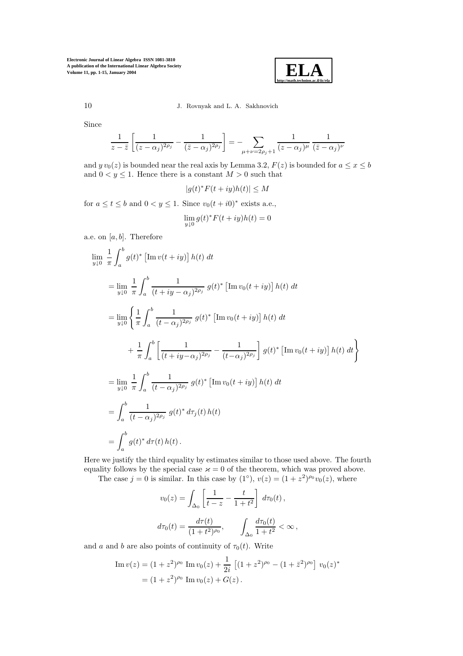

# 10 J. Rovnyak and L. A. Sakhnovich

Since

$$
\frac{1}{z-\bar{z}}\left[\frac{1}{(z-\alpha_j)^{2\rho_j}}-\frac{1}{(\bar{z}-\alpha_j)^{2\rho_j}}\right]=-\sum_{\mu+\nu=2\rho_j+1}\frac{1}{(z-\alpha_j)^\mu}\,\frac{1}{(\bar{z}-\alpha_j)^\nu}
$$

and  $y v_0(z)$  is bounded near the real axis by Lemma 3.2,  $F(z)$  is bounded for  $a \le x \le b$ and  $0 < y \leq 1$ . Hence there is a constant  $M > 0$  such that

$$
|g(t)^*F(t+iy)h(t)|\leq M
$$

for  $a \le t \le b$  and  $0 < y \le 1$ . Since  $v_0(t + i0)^*$  exists a.e.,

$$
\lim_{y \downarrow 0} g(t)^* F(t+iy)h(t) = 0
$$

a.e. on  $[a, b]$ . Therefore

$$
\lim_{y \downarrow 0} \frac{1}{\pi} \int_{a}^{b} g(t)^{*} \left[ \text{Im} \, v(t+iy) \right] h(t) dt
$$
\n
$$
= \lim_{y \downarrow 0} \frac{1}{\pi} \int_{a}^{b} \frac{1}{(t+iy-\alpha_{j})^{2\rho_{j}}} g(t)^{*} \left[ \text{Im} \, v_{0}(t+iy) \right] h(t) dt
$$
\n
$$
= \lim_{y \downarrow 0} \left\{ \frac{1}{\pi} \int_{a}^{b} \frac{1}{(t-\alpha_{j})^{2\rho_{j}}} g(t)^{*} \left[ \text{Im} \, v_{0}(t+iy) \right] h(t) dt + \frac{1}{\pi} \int_{a}^{b} \left[ \frac{1}{(t+iy-\alpha_{j})^{2\rho_{j}}} - \frac{1}{(t-\alpha_{j})^{2\rho_{j}}} \right] g(t)^{*} \left[ \text{Im} \, v_{0}(t+iy) \right] h(t) dt \right\}
$$
\n
$$
= \lim_{y \downarrow 0} \frac{1}{\pi} \int_{a}^{b} \frac{1}{(t-\alpha_{j})^{2\rho_{j}}} g(t)^{*} \left[ \text{Im} \, v_{0}(t+iy) \right] h(t) dt
$$
\n
$$
= \int_{a}^{b} \frac{1}{(t-\alpha_{j})^{2\rho_{j}}} g(t)^{*} d\tau_{j}(t) h(t)
$$
\n
$$
= \int_{a}^{b} g(t)^{*} d\tau(t) h(t).
$$

Here we justify the third equality by estimates similar to those used above. The fourth equality follows by the special case  $\varkappa = 0$  of the theorem, which was proved above.

The case  $j = 0$  is similar. In this case by  $(1<sup>°</sup>), v(z) = (1 + z<sup>2</sup>)<sup>p<sub>0</sub></sup>v<sub>0</sub>(z)$ , where

$$
v_0(z) = \int_{\Delta_0} \left[ \frac{1}{t - z} - \frac{t}{1 + t^2} \right] d\tau_0(t),
$$
  

$$
d\tau_0(t) = \frac{d\tau(t)}{(1 + t^2)^{\rho_0}}, \qquad \int_{\Delta_0} \frac{d\tau_0(t)}{1 + t^2} < \infty,
$$

and a and b are also points of continuity of  $\tau_0(t)$ . Write

Im 
$$
v(z) = (1 + z^2)^{\rho_0} \text{ Im } v_0(z) + \frac{1}{2i} [(1 + z^2)^{\rho_0} - (1 + \bar{z}^2)^{\rho_0}] v_0(z)^*
$$
  
=  $(1 + z^2)^{\rho_0} \text{ Im } v_0(z) + G(z)$ .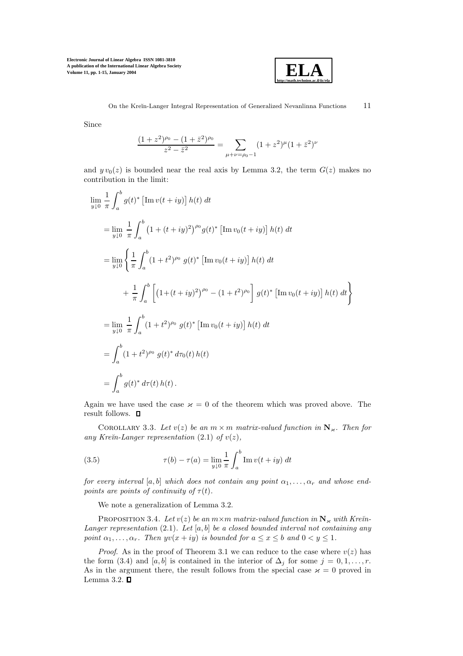

Since

$$
\frac{(1+z^2)^{\rho_0} - (1+\bar{z}^2)^{\rho_0}}{z^2 - \bar{z}^2} = \sum_{\mu+\nu=\rho_0-1} (1+z^2)^{\mu} (1+\bar{z}^2)^{\nu}
$$

and  $y v_0(z)$  is bounded near the real axis by Lemma 3.2, the term  $G(z)$  makes no contribution in the limit:

$$
\lim_{y \downarrow 0} \frac{1}{\pi} \int_{a}^{b} g(t)^{*} \left[ \text{Im} \, v(t+iy) \right] h(t) dt
$$
\n
$$
= \lim_{y \downarrow 0} \frac{1}{\pi} \int_{a}^{b} \left( 1 + (t+iy)^{2} \right)^{\rho_{0}} g(t)^{*} \left[ \text{Im} \, v_{0}(t+iy) \right] h(t) dt
$$
\n
$$
= \lim_{y \downarrow 0} \left\{ \frac{1}{\pi} \int_{a}^{b} (1+t^{2})^{\rho_{0}} g(t)^{*} \left[ \text{Im} \, v_{0}(t+iy) \right] h(t) dt + \frac{1}{\pi} \int_{a}^{b} \left[ \left( 1 + (t+iy)^{2} \right)^{\rho_{0}} - (1+t^{2})^{\rho_{0}} \right] g(t)^{*} \left[ \text{Im} \, v_{0}(t+iy) \right] h(t) dt \right\}
$$
\n
$$
= \lim_{y \downarrow 0} \frac{1}{\pi} \int_{a}^{b} (1+t^{2})^{\rho_{0}} g(t)^{*} \left[ \text{Im} \, v_{0}(t+iy) \right] h(t) dt
$$
\n
$$
= \int_{a}^{b} (1+t^{2})^{\rho_{0}} g(t)^{*} d\tau_{0}(t) h(t)
$$
\n
$$
= \int_{a}^{b} g(t)^{*} d\tau(t) h(t).
$$

Again we have used the case  $\varkappa = 0$  of the theorem which was proved above. The result follows.  $\quad \blacksquare$ 

COROLLARY 3.3. Let  $v(z)$  be an  $m \times m$  matrix-valued function in  $\mathbb{N}_{\varkappa}$ . Then for any Kreïn-Langer representation  $(2.1)$  of  $v(z)$ ,

(3.5) 
$$
\tau(b) - \tau(a) = \lim_{y \downarrow 0} \frac{1}{\pi} \int_{a}^{b} \text{Im } v(t + iy) dt
$$

for every interval [a, b] which does not contain any point  $\alpha_1, \ldots, \alpha_r$  and whose endpoints are points of continuity of  $\tau(t)$ .

We note a generalization of Lemma 3.2.

PROPOSITION 3.4. Let  $v(z)$  be an  $m \times m$  matrix-valued function in  $N_{\kappa}$  with Kre $\check{n}$ -Langer representation  $(2.1)$ . Let  $[a, b]$  be a closed bounded interval not containing any point  $\alpha_1, \ldots, \alpha_r$ . Then  $yv(x+iy)$  is bounded for  $a \leq x \leq b$  and  $0 < y \leq 1$ .

*Proof.* As in the proof of Theorem 3.1 we can reduce to the case where  $v(z)$  has the form (3.4) and [a, b] is contained in the interior of  $\Delta_j$  for some  $j = 0, 1, \ldots, r$ . As in the argument there, the result follows from the special case  $\varkappa = 0$  proved in Lemma 3.2.  $\square$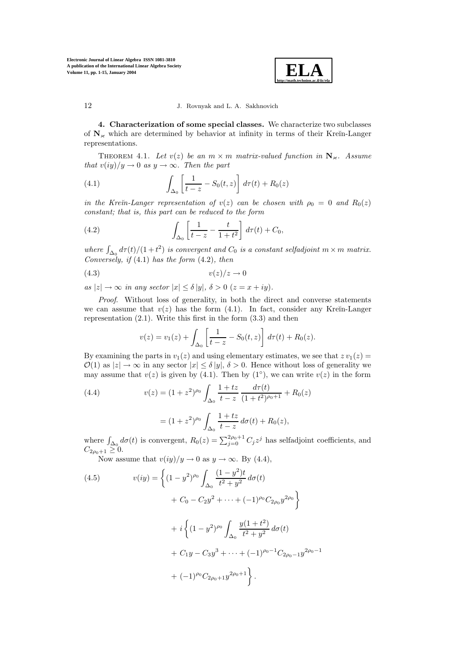

**4. Characterization of some special classes.** We characterize two subclasses of  $N_k$  which are determined by behavior at infinity in terms of their Kreĭn-Langer representations.

THEOREM 4.1. Let  $v(z)$  be an  $m \times m$  matrix-valued function in  $N_{\kappa}$ . Assume that  $v(iy)/y \to 0$  as  $y \to \infty$ . Then the part

(4.1) 
$$
\int_{\Delta_0} \left[ \frac{1}{t - z} - S_0(t, z) \right] d\tau(t) + R_0(z)
$$

in the Kre $\tilde{m}$ -Langer representation of  $v(z)$  can be chosen with  $\rho_0 = 0$  and  $R_0(z)$ constant; that is, this part can be reduced to the form

(4.2) 
$$
\int_{\Delta_0} \left[ \frac{1}{t-z} - \frac{t}{1+t^2} \right] d\tau(t) + C_0,
$$

where  $\int_{\Delta_0} d\tau(t)/(1+t^2)$  is convergent and  $C_0$  is a constant selfadjoint  $m \times m$  matrix. Conversely, if  $(4.1)$  has the form  $(4.2)$ , then

$$
(4.3) \t v(z)/z \to 0
$$

as  $|z|\to\infty$  in any sector  $|x| \leq \delta |y|$ ,  $\delta > 0$   $(z = x + iy)$ .

Proof. Without loss of generality, in both the direct and converse statements we can assume that  $v(z)$  has the form (4.1). In fact, consider any Kreĭn-Langer representation  $(2.1)$ . Write this first in the form  $(3.3)$  and then

$$
v(z) = v_1(z) + \int_{\Delta_0} \left[ \frac{1}{t - z} - S_0(t, z) \right] d\tau(t) + R_0(z).
$$

By examining the parts in  $v_1(z)$  and using elementary estimates, we see that  $z v_1(z) =$  $\mathcal{O}(1)$  as  $|z| \to \infty$  in any sector  $|x| < \delta |y|$ ,  $\delta > 0$ . Hence without loss of generality we may assume that  $v(z)$  is given by (4.1). Then by (1<sup>°</sup>), we can write  $v(z)$  in the form

(4.4) 
$$
v(z) = (1+z^2)^{\rho_0} \int_{\Delta_0} \frac{1+tz}{t-z} \frac{d\tau(t)}{(1+t^2)^{\rho_0+1}} + R_0(z)
$$

$$
= (1+z^2)^{\rho_0} \int_{\Delta_0} \frac{1+tz}{t-z} d\sigma(t) + R_0(z),
$$

where  $\int_{\Delta_0} d\sigma(t)$  is convergent,  $R_0(z) = \sum_{j=0}^{2\rho_0+1} C_j z^j$  has selfadjoint coefficients, and  $C_{2\rho_0+1}\geq 0.$ 

Now assume that  $v(iy)/y \to 0$  as  $y \to \infty$ . By (4.4),

(4.5) 
$$
v(iy) = \left\{ (1 - y^2)^{\rho_0} \int_{\Delta_0} \frac{(1 - y^2)t}{t^2 + y^2} d\sigma(t) + C_0 - C_2 y^2 + \dots + (-1)^{\rho_0} C_{2\rho_0} y^{2\rho_0} \right\} + i \left\{ (1 - y^2)^{\rho_0} \int_{\Delta_0} \frac{y(1 + t^2)}{t^2 + y^2} d\sigma(t) + C_1 y - C_3 y^3 + \dots + (-1)^{\rho_0 - 1} C_{2\rho_0 - 1} y^{2\rho_0 - 1} + (-1)^{\rho_0} C_{2\rho_0 + 1} y^{2\rho_0 + 1} \right\}.
$$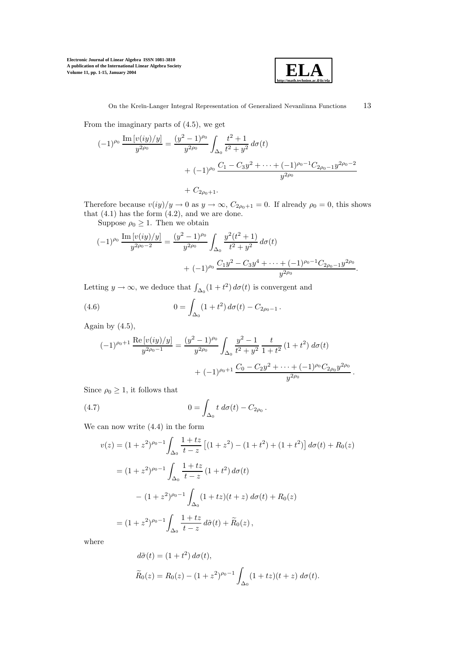

From the imaginary parts of (4.5), we get

$$
(-1)^{\rho_0} \frac{\operatorname{Im} [v(iy)/y]}{y^{2\rho_0}} = \frac{(y^2 - 1)^{\rho_0}}{y^{2\rho_0}} \int_{\Delta_0} \frac{t^2 + 1}{t^2 + y^2} d\sigma(t)
$$
  
+  $(-1)^{\rho_0} \frac{C_1 - C_3 y^2 + \dots + (-1)^{\rho_0 - 1} C_{2\rho_0 - 1} y^{2\rho_0 - 2}}{y^{2\rho_0}}$   
+  $C_{2\rho_0 + 1}$ .

Therefore because  $v(iy)/y \to 0$  as  $y \to \infty$ ,  $C_{2\rho_0+1} = 0$ . If already  $\rho_0 = 0$ , this shows that  $(4.1)$  has the form  $(4.2)$ , and we are done.

Suppose  $\rho_0 \geq 1$ . Then we obtain

$$
(-1)^{\rho_0} \frac{\operatorname{Im} [v(iy)/y]}{y^{2\rho_0 - 2}} = \frac{(y^2 - 1)^{\rho_0}}{y^{2\rho_0}} \int_{\Delta_0} \frac{y^2(t^2 + 1)}{t^2 + y^2} d\sigma(t) + (-1)^{\rho_0} \frac{C_1 y^2 - C_3 y^4 + \dots + (-1)^{\rho_0 - 1} C_{2\rho_0 - 1} y^{2\rho_0}}{y^{2\rho_0}}.
$$

Letting  $y \to \infty$ , we deduce that  $\int_{\Delta_0} (1 + t^2) d\sigma(t)$  is convergent and

(4.6) 
$$
0 = \int_{\Delta_0} (1 + t^2) d\sigma(t) - C_{2\rho_0 - 1}.
$$

Again by  $(4.5)$ ,

$$
(-1)^{\rho_0+1} \frac{\text{Re} [v(iy)/y]}{y^{2\rho_0-1}} = \frac{(y^2-1)^{\rho_0}}{y^{2\rho_0}} \int_{\Delta_0} \frac{y^2-1}{t^2+y^2} \frac{t}{1+t^2} (1+t^2) d\sigma(t) + (-1)^{\rho_0+1} \frac{C_0-C_2y^2+\cdots+(-1)^{\rho_0}C_{2\rho_0}y^{2\rho_0}}{y^{2\rho_0}}.
$$

Since  $\rho_0 \geq 1$ , it follows that

(4.7) 
$$
0 = \int_{\Delta_0} t \, d\sigma(t) - C_{2\rho_0}.
$$

We can now write (4.4) in the form

$$
v(z) = (1 + z2)\rho0-1 \int_{\Delta_{0}} \frac{1 + tz}{t - z} [(1 + z2) - (1 + t2) + (1 + t2)] d\sigma(t) + R_{0}(z)
$$
  

$$
= (1 + z2)\rho0-1 \int_{\Delta_{0}} \frac{1 + tz}{t - z} (1 + t2) d\sigma(t)
$$
  

$$
- (1 + z2)\rho0-1 \int_{\Delta_{0}} (1 + tz)(t + z) d\sigma(t) + R_{0}(z)
$$
  

$$
= (1 + z2)\rho0-1 \int_{\Delta_{0}} \frac{1 + tz}{t - z} d\tilde{\sigma}(t) + \tilde{R}_{0}(z),
$$

where

$$
d\tilde{\sigma}(t) = (1+t^2) d\sigma(t),
$$
  
\n
$$
\tilde{R}_0(z) = R_0(z) - (1+z^2)^{\rho_0 - 1} \int_{\Delta_0} (1+tz)(t+z) d\sigma(t).
$$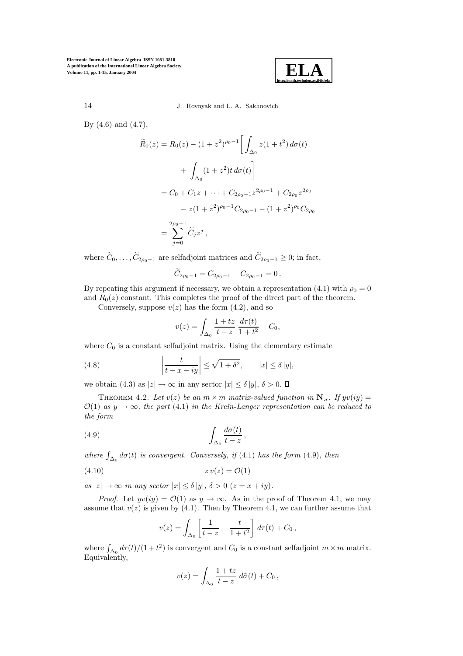

14 J. Rovnyak and L. A. Sakhnovich

By (4.6) and (4.7),

$$
\widetilde{R}_0(z) = R_0(z) - (1 + z^2)^{\rho_0 - 1} \left[ \int_{\Delta_0} z(1 + t^2) d\sigma(t) + \int_{\Delta_0} (1 + z^2) t d\sigma(t) \right]
$$

$$
= C_0 + C_1 z + \dots + C_{2\rho_0 - 1} z^{2\rho_0 - 1} + C_{2\rho_0} z^{2\rho_0}
$$

$$
- z(1 + z^2)^{\rho_0 - 1} C_{2\rho_0 - 1} - (1 + z^2)^{\rho_0} C_{2\rho_0}
$$

$$
= \sum_{j=0}^{2\rho_0 - 1} \widetilde{C}_j z^j,
$$

where  $\widetilde{C}_0,\ldots,\widetilde{C}_{2\rho_0-1}$  are selfadjoint matrices and  $\widetilde{C}_{2\rho_0-1}\geq 0$ ; in fact,

$$
\widetilde{C}_{2\rho_0-1} = C_{2\rho_0-1} - C_{2\rho_0-1} = 0.
$$

By repeating this argument if necessary, we obtain a representation (4.1) with  $\rho_0 = 0$ and  $R_0(z)$  constant. This completes the proof of the direct part of the theorem.

Conversely, suppose  $v(z)$  has the form  $(4.2)$ , and so

$$
v(z) = \int_{\Delta_0} \frac{1+tz}{t-z} \, \frac{d\tau(t)}{1+t^2} + C_0,
$$

where  $C_0$  is a constant selfadjoint matrix. Using the elementary estimate

(4.8) 
$$
\left|\frac{t}{t-x-iy}\right| \leq \sqrt{1+\delta^2}, \qquad |x| \leq \delta |y|,
$$

we obtain (4.3) as  $|z| \to \infty$  in any sector  $|x| \le \delta |y|$ ,  $\delta > 0$ .  $\Box$ 

THEOREM 4.2. Let  $v(z)$  be an  $m \times m$  matrix-valued function in  $N_{\kappa}$ . If  $yv(iy) =$  $\mathcal{O}(1)$  as  $y \to \infty$ , the part (4.1) in the Krein-Langer representation can be reduced to the form

(4.9) 
$$
\int_{\Delta_0} \frac{d\sigma(t)}{t-z},
$$

where  $\int_{\Delta_0} d\sigma(t)$  is convergent. Conversely, if (4.1) has the form (4.9), then

$$
(4.10) \t\t\t zv(z) = \mathcal{O}(1)
$$

as  $|z| \to \infty$  in any sector  $|x| \le \delta |y|$ ,  $\delta > 0$   $(z = x + iy)$ .

*Proof.* Let  $yv(iy) = \mathcal{O}(1)$  as  $y \to \infty$ . As in the proof of Theorem 4.1, we may assume that  $v(z)$  is given by (4.1). Then by Theorem 4.1, we can further assume that

$$
v(z) = \int_{\Delta_0} \left[ \frac{1}{t - z} - \frac{t}{1 + t^2} \right] d\tau(t) + C_0,
$$

where  $\int_{\Delta_0} d\tau(t)/(1+t^2)$  is convergent and  $C_0$  is a constant selfadjoint  $m \times m$  matrix. Equivalently,

$$
v(z) = \int_{\Delta_0} \frac{1+tz}{t-z} d\tilde{\sigma}(t) + C_0,
$$